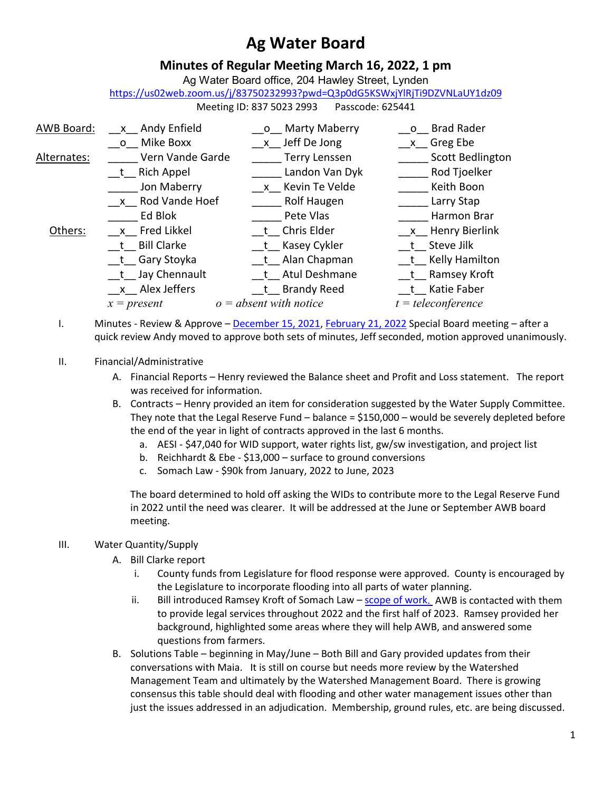# **Ag Water Board**

## **Minutes of Regular Meeting March 16, 2022, 1 pm**

Ag Water Board office, 204 Hawley Street, Lynden

<https://us02web.zoom.us/j/83750232993?pwd=Q3p0dG5KSWxjYlRjTi9DZVNLaUY1dz09>

Meeting ID: 837 5023 2993 Passcode: 625441

| AWB Board:  | x Andy Enfield      | __o__ Marty Maberry      | o Brad Rader         |
|-------------|---------------------|--------------------------|----------------------|
|             | o Mike Boxx         | x Jeff De Jong           | x Greg Ebe           |
| Alternates: | Vern Vande Garde    | <b>Terry Lenssen</b>     | Scott Bedlington     |
|             | t Rich Appel        | Landon Van Dyk           | Rod Tjoelker         |
|             | Jon Maberry         | x Kevin Te Velde         | Keith Boon           |
|             | x Rod Vande Hoef    | Rolf Haugen              | Larry Stap           |
|             | Ed Blok             | Pete Vlas                | Harmon Brar          |
| Others:     | x Fred Likkel       | t Chris Elder            | x Henry Bierlink     |
|             | t Bill Clarke       | t Kasey Cykler           | t Steve Jilk         |
|             | __t__ Gary Stoyka   | __t__ Alan Chapman       | t Kelly Hamilton     |
|             | __t__ Jay Chennault | t Atul Deshmane          | t Ramsey Kroft       |
|             | $x$ Alex Jeffers    | t Brandy Reed            | t Katie Faber        |
|             | $x = present$       | $o = absent$ with notice | $t = teleconference$ |

I. Minutes - Review & Approve – December 15, 2021, February 21, 2022 Special Board meeting – after a quick review Andy moved to approve both sets of minutes, Jeff seconded, motion approved unanimously.

## II. Financial/Administrative

- A. Financial Reports Henry reviewed the Balance sheet and Profit and Loss statement. The report was received for information.
- B. Contracts Henry provided an item for consideration suggested by the Water Supply Committee. They note that the Legal Reserve Fund – balance = \$150,000 – would be severely depleted before the end of the year in light of contracts approved in the last 6 months.
	- a. AESI \$47,040 for WID support, water rights list, gw/sw investigation, and project list
	- b. Reichhardt & Ebe \$13,000 surface to ground conversions
	- c. Somach Law \$90k from January, 2022 to June, 2023

The board determined to hold off asking the WIDs to contribute more to the Legal Reserve Fund in 2022 until the need was clearer. It will be addressed at the June or September AWB board meeting.

## III. Water Quantity/Supply

- A. Bill Clarke report
	- i. County funds from Legislature for flood response were approved. County is encouraged by the Legislature to incorporate flooding into all parts of water planning.
	- ii. Bill introduced Ramsey Kroft of Somach Law scope of work. AWB is contacted with them to provide legal services throughout 2022 and the first half of 2023. Ramsey provided her background, highlighted some areas where they will help AWB, and answered some questions from farmers.
- B. Solutions Table beginning in May/June Both Bill and Gary provided updates from their conversations with Maia. It is still on course but needs more review by the Watershed Management Team and ultimately by the Watershed Management Board. There is growing consensus this table should deal with flooding and other water management issues other than just the issues addressed in an adjudication. Membership, ground rules, etc. are being discussed.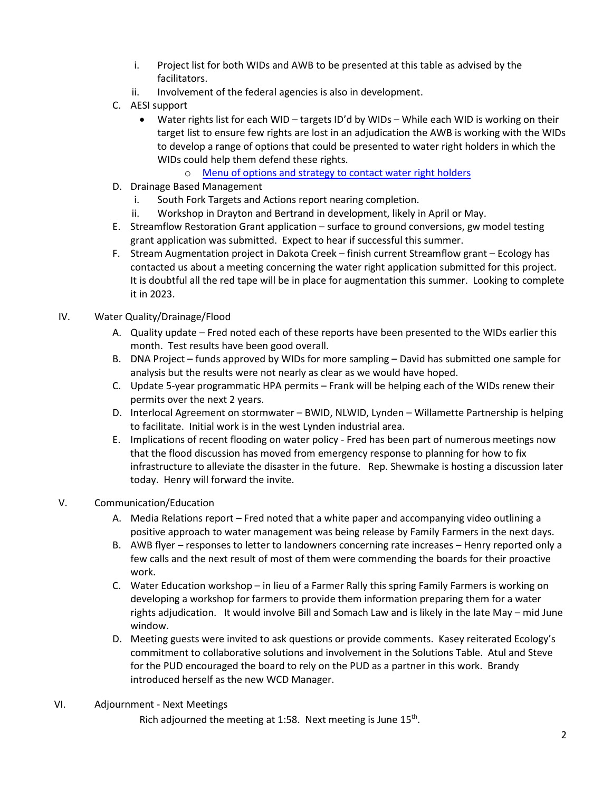- i. Project list for both WIDs and AWB to be presented at this table as advised by the facilitators.
- ii. Involvement of the federal agencies is also in development.
- C. AESI support
	- Water rights list for each WID targets ID'd by WIDs While each WID is working on their target list to ensure few rights are lost in an adjudication the AWB is working with the WIDs to develop a range of options that could be presented to water right holders in which the WIDs could help them defend these rights.
		- o Menu of options and strategy to contact water right holders
- D. Drainage Based Management
	- i. South Fork Targets and Actions report nearing completion.
	- ii. Workshop in Drayton and Bertrand in development, likely in April or May.
- E. Streamflow Restoration Grant application surface to ground conversions, gw model testing grant application was submitted. Expect to hear if successful this summer.
- F. Stream Augmentation project in Dakota Creek finish current Streamflow grant Ecology has contacted us about a meeting concerning the water right application submitted for this project. It is doubtful all the red tape will be in place for augmentation this summer. Looking to complete it in 2023.

## IV. Water Quality/Drainage/Flood

- A. Quality update Fred noted each of these reports have been presented to the WIDs earlier this month. Test results have been good overall.
- B. DNA Project funds approved by WIDs for more sampling David has submitted one sample for analysis but the results were not nearly as clear as we would have hoped.
- C. Update 5-year programmatic HPA permits Frank will be helping each of the WIDs renew their permits over the next 2 years.
- D. Interlocal Agreement on stormwater BWID, NLWID, Lynden Willamette Partnership is helping to facilitate. Initial work is in the west Lynden industrial area.
- E. Implications of recent flooding on water policy Fred has been part of numerous meetings now that the flood discussion has moved from emergency response to planning for how to fix infrastructure to alleviate the disaster in the future. Rep. Shewmake is hosting a discussion later today. Henry will forward the invite.

## V. Communication/Education

- A. Media Relations report Fred noted that a white paper and accompanying video outlining a positive approach to water management was being release by Family Farmers in the next days.
- B. AWB flyer responses to letter to landowners concerning rate increases Henry reported only a few calls and the next result of most of them were commending the boards for their proactive work.
- C. Water Education workshop in lieu of a Farmer Rally this spring Family Farmers is working on developing a workshop for farmers to provide them information preparing them for a water rights adjudication. It would involve Bill and Somach Law and is likely in the late May – mid June window.
- D. Meeting guests were invited to ask questions or provide comments. Kasey reiterated Ecology's commitment to collaborative solutions and involvement in the Solutions Table. Atul and Steve for the PUD encouraged the board to rely on the PUD as a partner in this work. Brandy introduced herself as the new WCD Manager.

## VI. Adjournment - Next Meetings

Rich adjourned the meeting at 1:58. Next meeting is June  $15<sup>th</sup>$ .